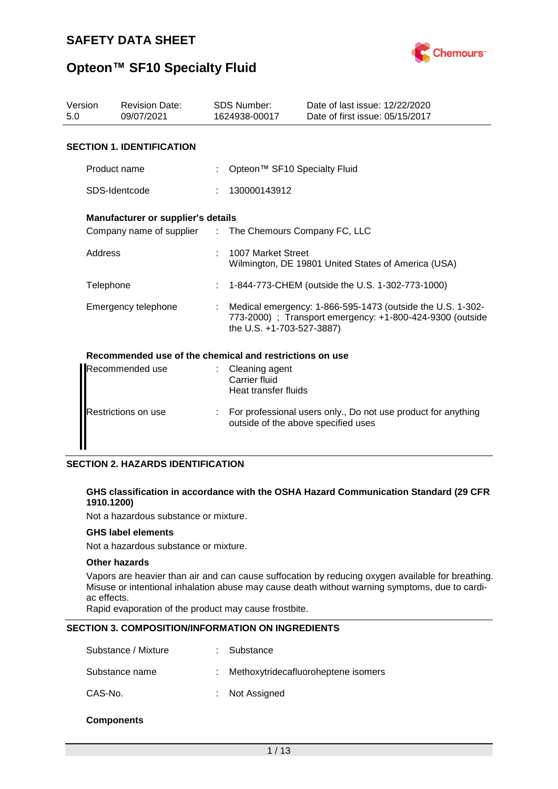

| Version<br>5.0      | <b>Revision Date:</b><br>09/07/2021                     |  | <b>SDS Number:</b><br>1624938-00017                                                                                                                  | Date of last issue: 12/22/2020<br>Date of first issue: 05/15/2017 |  |  |  |
|---------------------|---------------------------------------------------------|--|------------------------------------------------------------------------------------------------------------------------------------------------------|-------------------------------------------------------------------|--|--|--|
|                     | <b>SECTION 1. IDENTIFICATION</b>                        |  |                                                                                                                                                      |                                                                   |  |  |  |
|                     | Product name                                            |  | Opteon™ SF10 Specialty Fluid                                                                                                                         |                                                                   |  |  |  |
|                     | SDS-Identcode                                           |  | 130000143912                                                                                                                                         |                                                                   |  |  |  |
|                     | <b>Manufacturer or supplier's details</b>               |  |                                                                                                                                                      |                                                                   |  |  |  |
|                     | Company name of supplier :                              |  | The Chemours Company FC, LLC                                                                                                                         |                                                                   |  |  |  |
| Address             |                                                         |  | 1007 Market Street<br>Wilmington, DE 19801 United States of America (USA)                                                                            |                                                                   |  |  |  |
|                     | Telephone                                               |  | 1-844-773-CHEM (outside the U.S. 1-302-773-1000)                                                                                                     |                                                                   |  |  |  |
|                     | Emergency telephone                                     |  | Medical emergency: 1-866-595-1473 (outside the U.S. 1-302-<br>773-2000) ; Transport emergency: +1-800-424-9300 (outside<br>the U.S. +1-703-527-3887) |                                                                   |  |  |  |
|                     | Recommended use of the chemical and restrictions on use |  |                                                                                                                                                      |                                                                   |  |  |  |
|                     | Recommended use                                         |  | Cleaning agent<br>Carrier fluid<br>Heat transfer fluids                                                                                              |                                                                   |  |  |  |
| Restrictions on use |                                                         |  | For professional users only., Do not use product for anything<br>outside of the above specified uses                                                 |                                                                   |  |  |  |

## **SECTION 2. HAZARDS IDENTIFICATION**

## **GHS classification in accordance with the OSHA Hazard Communication Standard (29 CFR 1910.1200)**

Not a hazardous substance or mixture.

#### **GHS label elements**

Not a hazardous substance or mixture.

#### **Other hazards**

Vapors are heavier than air and can cause suffocation by reducing oxygen available for breathing. Misuse or intentional inhalation abuse may cause death without warning symptoms, due to cardiac effects.

Rapid evaporation of the product may cause frostbite.

## **SECTION 3. COMPOSITION/INFORMATION ON INGREDIENTS**

| Substance / Mixture | : Substance                           |
|---------------------|---------------------------------------|
| Substance name      | : Methoxytridecafluoroheptene isomers |
| CAS-No.             | : Not Assigned                        |

## **Components**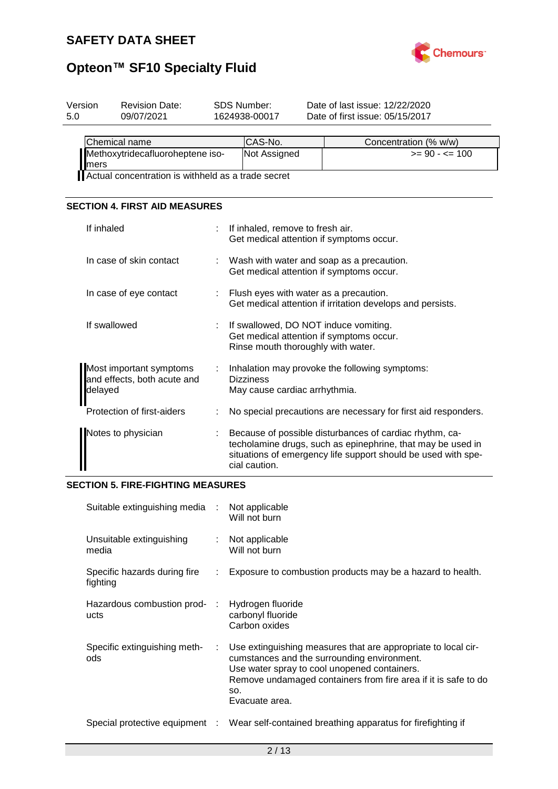

| 1624938-00017 | Date of last issue: 12/22/2020<br>Date of first issue: 05/15/2017                      |                       |  |
|---------------|----------------------------------------------------------------------------------------|-----------------------|--|
| CAS-No.       |                                                                                        | Concentration (% w/w) |  |
| Not Assigned  |                                                                                        | $>= 90 - 5 = 100$     |  |
|               | Methoxytridecafluoroheptene iso-<br>Actual concentration is withheld as a trade secret |                       |  |

## **SECTION 4. FIRST AID MEASURES**

| If inhaled                                                        | If inhaled, remove to fresh air.<br>Get medical attention if symptoms occur.                                                                                                                             |
|-------------------------------------------------------------------|----------------------------------------------------------------------------------------------------------------------------------------------------------------------------------------------------------|
| In case of skin contact                                           | Wash with water and soap as a precaution.<br>Get medical attention if symptoms occur.                                                                                                                    |
| In case of eye contact                                            | Flush eyes with water as a precaution.<br>Get medical attention if irritation develops and persists.                                                                                                     |
| If swallowed                                                      | If swallowed, DO NOT induce vomiting.<br>Get medical attention if symptoms occur.<br>Rinse mouth thoroughly with water.                                                                                  |
| Most important symptoms<br>and effects, both acute and<br>delayed | Inhalation may provoke the following symptoms:<br><b>Dizziness</b><br>May cause cardiac arrhythmia.                                                                                                      |
| Protection of first-aiders                                        | No special precautions are necessary for first aid responders.                                                                                                                                           |
| Notes to physician                                                | Because of possible disturbances of cardiac rhythm, ca-<br>techolamine drugs, such as epinephrine, that may be used in<br>situations of emergency life support should be used with spe-<br>cial caution. |

## **SECTION 5. FIRE-FIGHTING MEASURES**

| Suitable extinguishing media :           |    | Not applicable<br>Will not burn                                                                                                                                                                                                                         |
|------------------------------------------|----|---------------------------------------------------------------------------------------------------------------------------------------------------------------------------------------------------------------------------------------------------------|
| Unsuitable extinguishing<br>media        | t. | Not applicable<br>Will not burn                                                                                                                                                                                                                         |
| Specific hazards during fire<br>fighting | ÷. | Exposure to combustion products may be a hazard to health.                                                                                                                                                                                              |
| Hazardous combustion prod- :<br>ucts     |    | Hydrogen fluoride<br>carbonyl fluoride<br>Carbon oxides                                                                                                                                                                                                 |
| Specific extinguishing meth-<br>ods      | ÷. | Use extinguishing measures that are appropriate to local cir-<br>cumstances and the surrounding environment.<br>Use water spray to cool unopened containers.<br>Remove undamaged containers from fire area if it is safe to do<br>SO.<br>Evacuate area. |
| Special protective equipment :           |    | Wear self-contained breathing apparatus for firefighting if                                                                                                                                                                                             |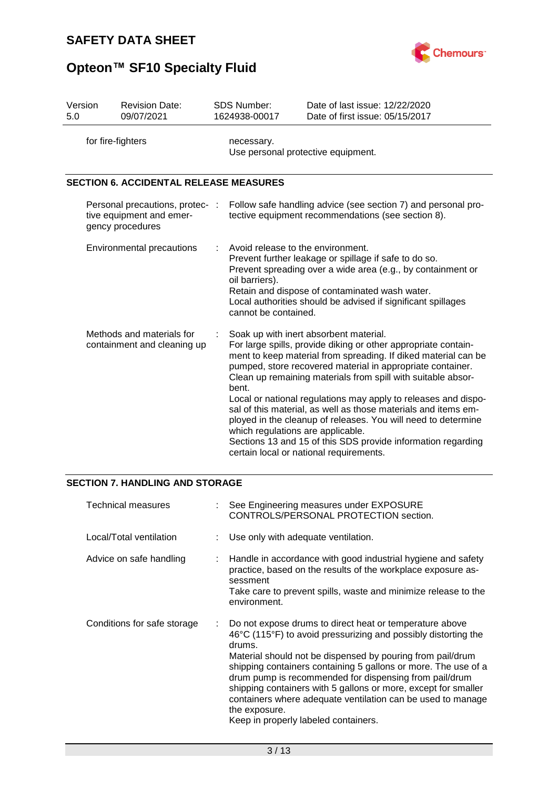

| Version                                                                         | <b>Revision Date:</b>                         | <b>SDS Number:</b>                                                                                                                                                                                                                                                                                                                                                                                                                                                                                                                                                                                                                                                     | Date of last issue: 12/22/2020  |  |
|---------------------------------------------------------------------------------|-----------------------------------------------|------------------------------------------------------------------------------------------------------------------------------------------------------------------------------------------------------------------------------------------------------------------------------------------------------------------------------------------------------------------------------------------------------------------------------------------------------------------------------------------------------------------------------------------------------------------------------------------------------------------------------------------------------------------------|---------------------------------|--|
| 5.0                                                                             | 09/07/2021                                    | 1624938-00017                                                                                                                                                                                                                                                                                                                                                                                                                                                                                                                                                                                                                                                          | Date of first issue: 05/15/2017 |  |
| for fire-fighters                                                               |                                               | necessary.<br>Use personal protective equipment.                                                                                                                                                                                                                                                                                                                                                                                                                                                                                                                                                                                                                       |                                 |  |
|                                                                                 | <b>SECTION 6. ACCIDENTAL RELEASE MEASURES</b> |                                                                                                                                                                                                                                                                                                                                                                                                                                                                                                                                                                                                                                                                        |                                 |  |
| Personal precautions, protec- :<br>tive equipment and emer-<br>gency procedures |                                               | Follow safe handling advice (see section 7) and personal pro-<br>tective equipment recommendations (see section 8).                                                                                                                                                                                                                                                                                                                                                                                                                                                                                                                                                    |                                 |  |
| <b>Environmental precautions</b>                                                |                                               | Avoid release to the environment.<br>Prevent further leakage or spillage if safe to do so.<br>Prevent spreading over a wide area (e.g., by containment or<br>oil barriers).<br>Retain and dispose of contaminated wash water.<br>Local authorities should be advised if significant spillages<br>cannot be contained.                                                                                                                                                                                                                                                                                                                                                  |                                 |  |
| Methods and materials for<br>containment and cleaning up                        |                                               | Soak up with inert absorbent material.<br>For large spills, provide diking or other appropriate contain-<br>ment to keep material from spreading. If diked material can be<br>pumped, store recovered material in appropriate container.<br>Clean up remaining materials from spill with suitable absor-<br>bent.<br>Local or national regulations may apply to releases and dispo-<br>sal of this material, as well as those materials and items em-<br>ployed in the cleanup of releases. You will need to determine<br>which regulations are applicable.<br>Sections 13 and 15 of this SDS provide information regarding<br>certain local or national requirements. |                                 |  |

## **SECTION 7. HANDLING AND STORAGE**

| <b>Technical measures</b>   |   | See Engineering measures under EXPOSURE<br>CONTROLS/PERSONAL PROTECTION section.                                                                                                                                                                                                                                                                                                                                                                                                                                        |
|-----------------------------|---|-------------------------------------------------------------------------------------------------------------------------------------------------------------------------------------------------------------------------------------------------------------------------------------------------------------------------------------------------------------------------------------------------------------------------------------------------------------------------------------------------------------------------|
| Local/Total ventilation     |   | Use only with adequate ventilation.                                                                                                                                                                                                                                                                                                                                                                                                                                                                                     |
| Advice on safe handling     | ÷ | Handle in accordance with good industrial hygiene and safety<br>practice, based on the results of the workplace exposure as-<br>sessment<br>Take care to prevent spills, waste and minimize release to the<br>environment.                                                                                                                                                                                                                                                                                              |
| Conditions for safe storage |   | Do not expose drums to direct heat or temperature above<br>46°C (115°F) to avoid pressurizing and possibly distorting the<br>drums.<br>Material should not be dispensed by pouring from pail/drum<br>shipping containers containing 5 gallons or more. The use of a<br>drum pump is recommended for dispensing from pail/drum<br>shipping containers with 5 gallons or more, except for smaller<br>containers where adequate ventilation can be used to manage<br>the exposure.<br>Keep in properly labeled containers. |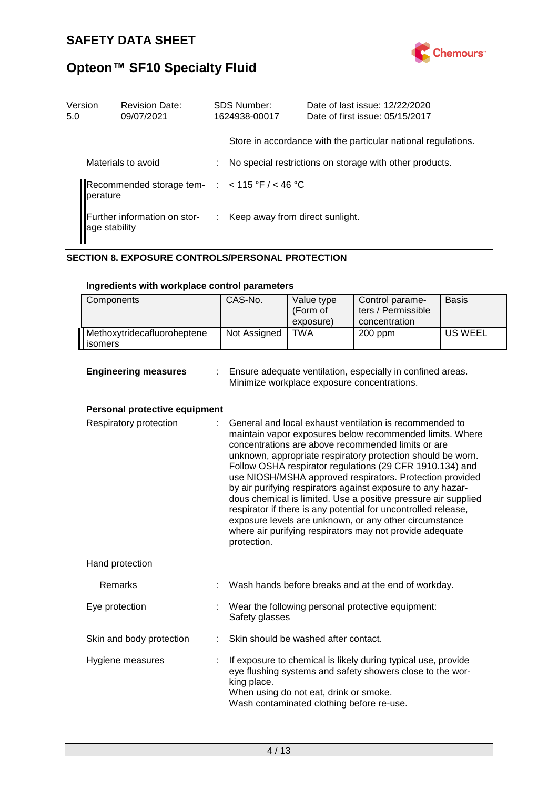

| Version<br>5.0                                | <b>Revision Date:</b><br>09/07/2021                         |  | <b>SDS Number:</b><br>1624938-00017 | Date of last issue: 12/22/2020<br>Date of first issue: 05/15/2017 |  |
|-----------------------------------------------|-------------------------------------------------------------|--|-------------------------------------|-------------------------------------------------------------------|--|
|                                               |                                                             |  |                                     | Store in accordance with the particular national regulations.     |  |
|                                               | Materials to avoid                                          |  |                                     | No special restrictions on storage with other products.           |  |
|                                               | Recommended storage tem- $:$ < 115 °F / < 46 °C<br>perature |  |                                     |                                                                   |  |
| Further information on stor-<br>age stability |                                                             |  | : Keep away from direct sunlight.   |                                                                   |  |

## **SECTION 8. EXPOSURE CONTROLS/PERSONAL PROTECTION**

| Components                              | CAS-No.      | Value type<br>(Form of<br>exposure) | Control parame-<br>ters / Permissible<br>concentration | <b>Basis</b> |
|-----------------------------------------|--------------|-------------------------------------|--------------------------------------------------------|--------------|
| Methoxytridecafluoroheptene<br>lisomers | Not Assigned | <b>TWA</b>                          | $200$ ppm                                              | US WEEL      |

## **Ingredients with workplace control parameters**

| <b>Engineering measure:</b> |  |  |  |  |  |
|-----------------------------|--|--|--|--|--|
|-----------------------------|--|--|--|--|--|

**s** : Ensure adequate ventilation, especially in confined areas. Minimize workplace exposure concentrations.

## **Personal protective equipment**

| Respiratory protection   |   | General and local exhaust ventilation is recommended to<br>maintain vapor exposures below recommended limits. Where<br>concentrations are above recommended limits or are<br>unknown, appropriate respiratory protection should be worn.<br>Follow OSHA respirator regulations (29 CFR 1910.134) and<br>use NIOSH/MSHA approved respirators. Protection provided<br>by air purifying respirators against exposure to any hazar-<br>dous chemical is limited. Use a positive pressure air supplied<br>respirator if there is any potential for uncontrolled release,<br>exposure levels are unknown, or any other circumstance<br>where air purifying respirators may not provide adequate<br>protection. |  |
|--------------------------|---|----------------------------------------------------------------------------------------------------------------------------------------------------------------------------------------------------------------------------------------------------------------------------------------------------------------------------------------------------------------------------------------------------------------------------------------------------------------------------------------------------------------------------------------------------------------------------------------------------------------------------------------------------------------------------------------------------------|--|
| Hand protection          |   |                                                                                                                                                                                                                                                                                                                                                                                                                                                                                                                                                                                                                                                                                                          |  |
| Remarks                  |   | Wash hands before breaks and at the end of workday.                                                                                                                                                                                                                                                                                                                                                                                                                                                                                                                                                                                                                                                      |  |
| Eye protection           |   | : Wear the following personal protective equipment:<br>Safety glasses                                                                                                                                                                                                                                                                                                                                                                                                                                                                                                                                                                                                                                    |  |
| Skin and body protection |   | Skin should be washed after contact.                                                                                                                                                                                                                                                                                                                                                                                                                                                                                                                                                                                                                                                                     |  |
| Hygiene measures         | ÷ | If exposure to chemical is likely during typical use, provide<br>eye flushing systems and safety showers close to the wor-<br>king place.<br>When using do not eat, drink or smoke.<br>Wash contaminated clothing before re-use.                                                                                                                                                                                                                                                                                                                                                                                                                                                                         |  |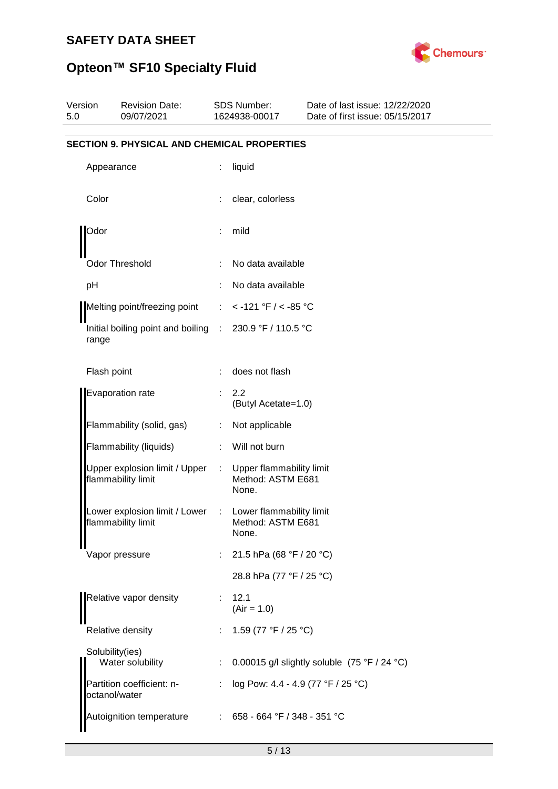

| Version<br>5.0 |                 | <b>Revision Date:</b><br>09/07/2021                                           |    | <b>SDS Number:</b><br>1624938-00017                    | Date of last issue: 12/22/2020<br>Date of first issue: 05/15/2017 |
|----------------|-----------------|-------------------------------------------------------------------------------|----|--------------------------------------------------------|-------------------------------------------------------------------|
|                |                 | <b>SECTION 9. PHYSICAL AND CHEMICAL PROPERTIES</b>                            |    |                                                        |                                                                   |
|                | Appearance      |                                                                               | ÷  | liquid                                                 |                                                                   |
|                | Color           |                                                                               |    | clear, colorless                                       |                                                                   |
|                | Odor            |                                                                               |    | mild                                                   |                                                                   |
|                |                 | <b>Odor Threshold</b>                                                         |    | No data available                                      |                                                                   |
|                | pH              |                                                                               |    | No data available                                      |                                                                   |
|                |                 | Melting point/freezing point                                                  | ÷  | < -121 °F / < -85 °C                                   |                                                                   |
|                | range           | Initial boiling point and boiling : 230.9 °F / 110.5 °C                       |    |                                                        |                                                                   |
|                | Flash point     |                                                                               |    | does not flash                                         |                                                                   |
|                |                 | Evaporation rate                                                              |    | 2.2<br>(Butyl Acetate=1.0)                             |                                                                   |
|                |                 | Flammability (solid, gas)                                                     | ÷  | Not applicable                                         |                                                                   |
|                |                 | Flammability (liquids)                                                        | ÷. | Will not burn                                          |                                                                   |
|                |                 | Upper explosion limit / Upper<br>flammability limit                           | ÷  | Upper flammability limit<br>Method: ASTM E681<br>None. |                                                                   |
|                |                 | Lower explosion limit / Lower : Lower flammability limit<br>lammability limit |    | Method: ASTM E681<br>None.                             |                                                                   |
|                |                 | Vapor pressure                                                                | ÷  | 21.5 hPa (68 °F / 20 °C)                               |                                                                   |
|                |                 |                                                                               |    | 28.8 hPa (77 °F / 25 °C)                               |                                                                   |
|                |                 | Relative vapor density                                                        |    | 12.1<br>$(Air = 1.0)$                                  |                                                                   |
|                |                 | Relative density                                                              |    | 1.59 (77 °F / 25 °C)                                   |                                                                   |
|                | Solubility(ies) | Water solubility                                                              |    |                                                        | 0.00015 g/l slightly soluble (75 °F / 24 °C)                      |
|                | octanol/water   | Partition coefficient: n-                                                     | ÷  | log Pow: 4.4 - 4.9 (77 °F / 25 °C)                     |                                                                   |
|                |                 | Autoignition temperature                                                      |    | : $658 - 664$ °F / 348 - 351 °C                        |                                                                   |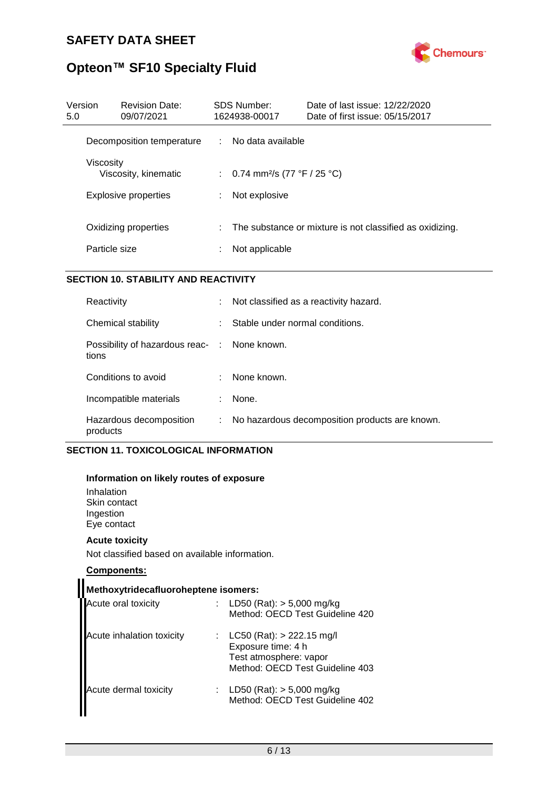

# **Opteon™ SF10 Specialty Fluid**

| Version<br><b>Revision Date:</b><br>09/07/2021<br>5.0     | SDS Number:<br>1624938-00017 | Date of last issue: 12/22/2020<br>Date of first issue: 05/15/2017          |
|-----------------------------------------------------------|------------------------------|----------------------------------------------------------------------------|
| Decomposition temperature                                 |                              | : No data available                                                        |
| Viscositv<br>Viscosity, kinematic<br>Explosive properties |                              | : 0.74 mm <sup>2</sup> /s (77 °F / 25 °C)<br>Not explosive                 |
| Oxidizing properties<br>Particle size                     |                              | The substance or mixture is not classified as oxidizing.<br>Not applicable |

## **SECTION 10. STABILITY AND REACTIVITY**

| Reactivity                                            | ÷. | Not classified as a reactivity hazard.         |
|-------------------------------------------------------|----|------------------------------------------------|
| Chemical stability                                    | ÷  | Stable under normal conditions.                |
| Possibility of hazardous reac- : None known.<br>tions |    |                                                |
| Conditions to avoid                                   |    | None known.                                    |
| Incompatible materials                                | t. | None.                                          |
| Hazardous decomposition<br>products                   | t. | No hazardous decomposition products are known. |

## **SECTION 11. TOXICOLOGICAL INFORMATION**

## **Information on likely routes of exposure**

Inhalation Skin contact Ingestion Eye contact

## **Acute toxicity**

Not classified based on available information.

## **Components:**

| Methoxytridecafluoroheptene isomers: |  |                                                                                                                  |  |  |  |  |  |
|--------------------------------------|--|------------------------------------------------------------------------------------------------------------------|--|--|--|--|--|
| Acute oral toxicity                  |  | : LD50 (Rat): $>$ 5,000 mg/kg<br>Method: OECD Test Guideline 420                                                 |  |  |  |  |  |
| Acute inhalation toxicity            |  | : LC50 (Rat): $> 222.15$ mg/l<br>Exposure time: 4 h<br>Test atmosphere: vapor<br>Method: OECD Test Guideline 403 |  |  |  |  |  |
| Acute dermal toxicity                |  | : LD50 (Rat): $> 5,000$ mg/kg<br>Method: OECD Test Guideline 402                                                 |  |  |  |  |  |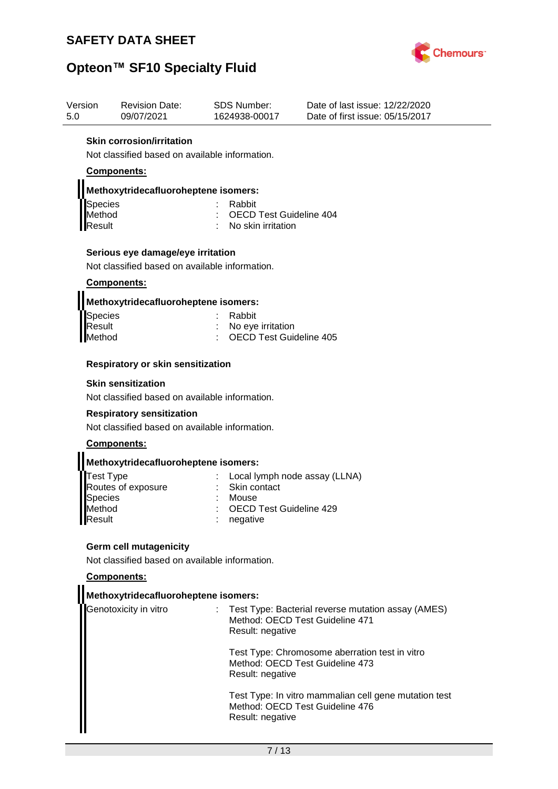

## **Opteon™ SF10 Specialty Fluid**

| Version | <b>Revision Date:</b>            | SDS Number:   | Date of last issue: 12/22/2020  |
|---------|----------------------------------|---------------|---------------------------------|
| 5.0     | 09/07/2021                       | 1624938-00017 | Date of first issue: 05/15/2017 |
|         | <b>Skin corrosion/irritation</b> |               |                                 |

Not classified based on available information.

## **Components:**

## **Methoxytridecafluoroheptene isomers:**

| Species | : Rabbit                        |
|---------|---------------------------------|
| Method  | : OECD Test Guideline 404       |
| Result  | $\therefore$ No skin irritation |

## **Serious eye damage/eye irritation**

Not classified based on available information.

## **Components:**

| Methoxytridecafluoroheptene isomers: |  |
|--------------------------------------|--|
|                                      |  |

| : Rabbit                  |
|---------------------------|
| : No eye irritation       |
| : OECD Test Guideline 405 |
|                           |

## **Respiratory or skin sensitization**

#### **Skin sensitization**

Not classified based on available information.

#### **Respiratory sensitization**

Not classified based on available information.

## **Components:**

## **Methoxytridecafluoroheptene isomers:**

| : Local lymph node assay (LLNA) |
|---------------------------------|
| : Skin contact                  |
| : Mouse                         |
| : OECD Test Guideline 429       |
| $:$ negative                    |
|                                 |

## **Germ cell mutagenicity**

Not classified based on available information.

#### **Components:**

## **Methoxytridecafluoroheptene isomers:**

| <b>I</b> Genotoxicity in vitro | : Test Type: Bacterial reverse mutation assay (AMES)<br>Method: OECD Test Guideline 471<br>Result: negative  |
|--------------------------------|--------------------------------------------------------------------------------------------------------------|
|                                | Test Type: Chromosome aberration test in vitro<br>Method: OECD Test Guideline 473<br>Result: negative        |
|                                | Test Type: In vitro mammalian cell gene mutation test<br>Method: OECD Test Guideline 476<br>Result: negative |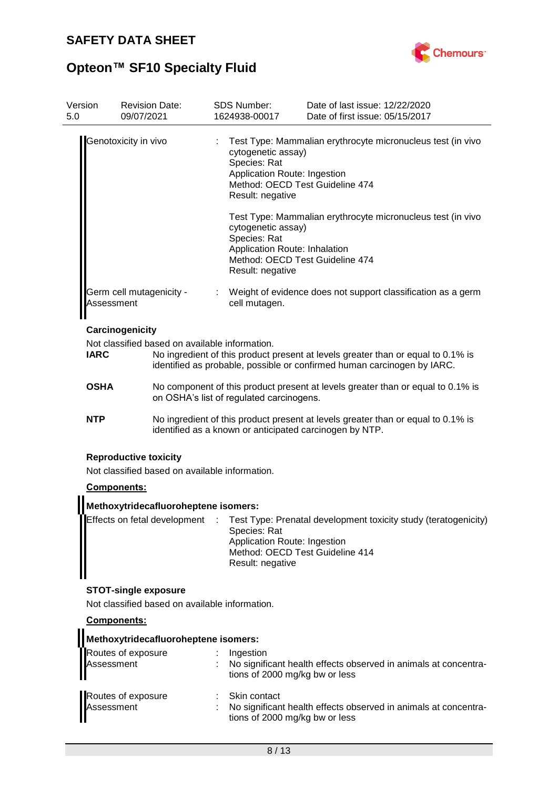

# **Opteon™ SF10 Specialty Fluid**

| Version<br>5.0                                                                                                                             | <b>Revision Date:</b><br>09/07/2021                                                                                                         | <b>SDS Number:</b><br>1624938-00017                                                     | Date of last issue: 12/22/2020<br>Date of first issue: 05/15/2017                                                                                           |  |  |
|--------------------------------------------------------------------------------------------------------------------------------------------|---------------------------------------------------------------------------------------------------------------------------------------------|-----------------------------------------------------------------------------------------|-------------------------------------------------------------------------------------------------------------------------------------------------------------|--|--|
|                                                                                                                                            | Genotoxicity in vivo                                                                                                                        | cytogenetic assay)<br>Species: Rat<br>Application Route: Ingestion<br>Result: negative  | Test Type: Mammalian erythrocyte micronucleus test (in vivo<br>Method: OECD Test Guideline 474                                                              |  |  |
|                                                                                                                                            |                                                                                                                                             | cytogenetic assay)<br>Species: Rat<br>Application Route: Inhalation<br>Result: negative | Test Type: Mammalian erythrocyte micronucleus test (in vivo<br>Method: OECD Test Guideline 474                                                              |  |  |
| Assessment                                                                                                                                 | Germ cell mutagenicity -                                                                                                                    | cell mutagen.                                                                           | Weight of evidence does not support classification as a germ                                                                                                |  |  |
|                                                                                                                                            | Carcinogenicity                                                                                                                             |                                                                                         |                                                                                                                                                             |  |  |
| <b>IARC</b>                                                                                                                                | Not classified based on available information.                                                                                              |                                                                                         | No ingredient of this product present at levels greater than or equal to 0.1% is<br>identified as probable, possible or confirmed human carcinogen by IARC. |  |  |
| <b>OSHA</b><br>No component of this product present at levels greater than or equal to 0.1% is<br>on OSHA's list of regulated carcinogens. |                                                                                                                                             |                                                                                         |                                                                                                                                                             |  |  |
| <b>NTP</b>                                                                                                                                 | No ingredient of this product present at levels greater than or equal to 0.1% is<br>identified as a known or anticipated carcinogen by NTP. |                                                                                         |                                                                                                                                                             |  |  |
|                                                                                                                                            | <b>Reproductive toxicity</b><br>Not classified based on available information.                                                              |                                                                                         |                                                                                                                                                             |  |  |
|                                                                                                                                            | Components:                                                                                                                                 |                                                                                         |                                                                                                                                                             |  |  |
|                                                                                                                                            | Methoxytridecafluoroheptene isomers:                                                                                                        |                                                                                         |                                                                                                                                                             |  |  |
|                                                                                                                                            | Effects on fetal development                                                                                                                | Species: Rat<br>Application Route: Ingestion<br>Result: negative                        | Test Type: Prenatal development toxicity study (teratogenicity)<br>Method: OECD Test Guideline 414                                                          |  |  |
|                                                                                                                                            | <b>STOT-single exposure</b>                                                                                                                 |                                                                                         |                                                                                                                                                             |  |  |
|                                                                                                                                            | Not classified based on available information.                                                                                              |                                                                                         |                                                                                                                                                             |  |  |
|                                                                                                                                            | Components:                                                                                                                                 |                                                                                         |                                                                                                                                                             |  |  |
|                                                                                                                                            | Methoxytridecafluoroheptene isomers:                                                                                                        |                                                                                         |                                                                                                                                                             |  |  |
| Assessment                                                                                                                                 | Routes of exposure                                                                                                                          | Ingestion<br>tions of 2000 mg/kg bw or less                                             | No significant health effects observed in animals at concentra-                                                                                             |  |  |
| Assessment                                                                                                                                 | Routes of exposure                                                                                                                          | Skin contact<br>tions of 2000 mg/kg bw or less                                          | No significant health effects observed in animals at concentra-                                                                                             |  |  |
|                                                                                                                                            |                                                                                                                                             | 8/13                                                                                    |                                                                                                                                                             |  |  |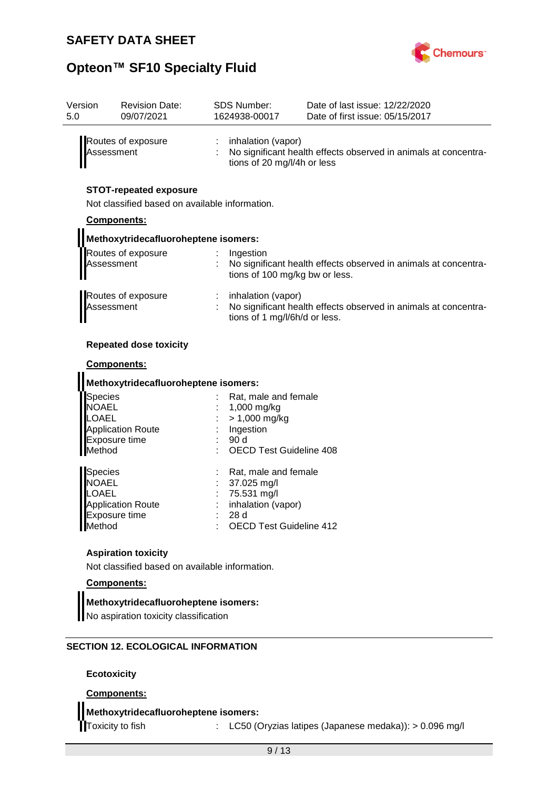

| Version<br>5.0 | <b>Revision Date:</b><br>09/07/2021                                             | <b>SDS Number:</b><br>1624938-00017 |                                                     | Date of last issue: 12/22/2020<br>Date of first issue: 05/15/2017 |
|----------------|---------------------------------------------------------------------------------|-------------------------------------|-----------------------------------------------------|-------------------------------------------------------------------|
|                | Routes of exposure<br>Assessment                                                |                                     | inhalation (vapor)<br>tions of 20 mg/l/4h or less   | No significant health effects observed in animals at concentra-   |
| Components:    | <b>STOT-repeated exposure</b><br>Not classified based on available information. |                                     |                                                     |                                                                   |
|                | Methoxytridecafluoroheptene isomers:                                            |                                     |                                                     |                                                                   |
|                | Routes of exposure                                                              |                                     | $:$ Ingestion                                       |                                                                   |
| Assessment     |                                                                                 |                                     | tions of 100 mg/kg bw or less.                      | : No significant health effects observed in animals at concentra- |
| Assessment     | Routes of exposure                                                              |                                     | inhalation (vapor)<br>tions of 1 mg/l/6h/d or less. | No significant health effects observed in animals at concentra-   |
|                | <b>Repeated dose toxicity</b>                                                   |                                     |                                                     |                                                                   |

#### **Components:**

| Methoxytridecafluoroheptene isomers:                                                                  |  |                                                                                                                   |  |  |  |  |
|-------------------------------------------------------------------------------------------------------|--|-------------------------------------------------------------------------------------------------------------------|--|--|--|--|
| <b>Species</b><br><b>NOAEL</b><br>LOAEL<br><b>Application Route</b><br><b>Exposure time</b><br>Method |  | Rat, male and female<br>1,000 mg/kg<br>$> 1,000$ mg/kg<br>Ingestion<br>90d<br><b>OECD Test Guideline 408</b>      |  |  |  |  |
| <b>Species</b><br><b>NOAEL</b><br>LOAEL<br><b>Application Route</b><br>Exposure time<br>Method        |  | Rat, male and female<br>37.025 mg/l<br>75.531 mg/l<br>inhalation (vapor)<br>28d<br><b>OECD Test Guideline 412</b> |  |  |  |  |

## **Aspiration toxicity**

Not classified based on available information.

## **Components:**

## **Methoxytridecafluoroheptene isomers:**

No aspiration toxicity classification

## **SECTION 12. ECOLOGICAL INFORMATION**

**Ecotoxicity**

## **Components:**

## **Methoxytridecafluoroheptene isomers:**

Toxicity to fish : LC50 (Oryzias latipes (Japanese medaka)): > 0.096 mg/l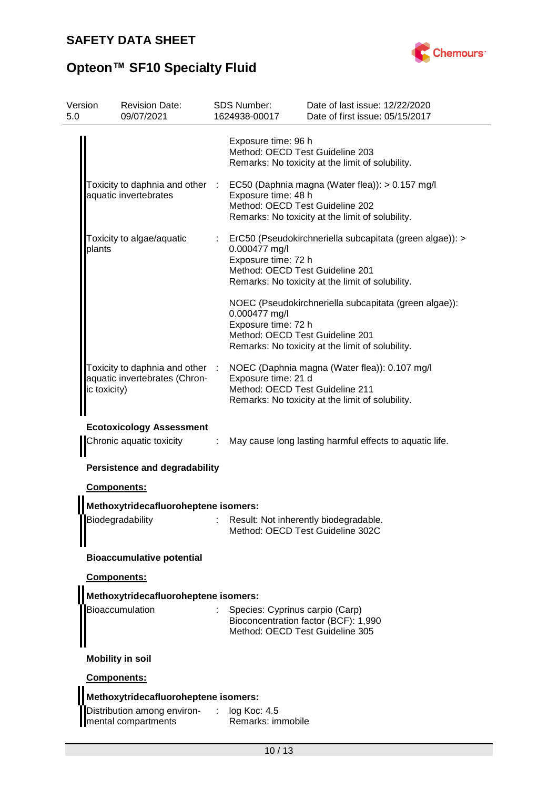

# **Opteon™ SF10 Specialty Fluid**

| Version<br>5.0 | <b>Revision Date:</b><br>09/07/2021                                                                 |         | <b>SDS Number:</b><br>1624938-00017                                     | Date of last issue: 12/22/2020<br>Date of first issue: 05/15/2017                                            |  |
|----------------|-----------------------------------------------------------------------------------------------------|---------|-------------------------------------------------------------------------|--------------------------------------------------------------------------------------------------------------|--|
|                |                                                                                                     |         | Exposure time: 96 h<br>Method: OECD Test Guideline 203                  | Remarks: No toxicity at the limit of solubility.                                                             |  |
|                | Toxicity to daphnia and other :<br>aquatic invertebrates                                            |         | Exposure time: 48 h<br>Method: OECD Test Guideline 202                  | EC50 (Daphnia magna (Water flea)): > 0.157 mg/l<br>Remarks: No toxicity at the limit of solubility.          |  |
| plants         | Toxicity to algae/aquatic                                                                           |         | 0.000477 mg/l<br>Exposure time: 72 h<br>Method: OECD Test Guideline 201 | ErC50 (Pseudokirchneriella subcapitata (green algae)): ><br>Remarks: No toxicity at the limit of solubility. |  |
|                |                                                                                                     |         | 0.000477 mg/l<br>Exposure time: 72 h<br>Method: OECD Test Guideline 201 | NOEC (Pseudokirchneriella subcapitata (green algae)):<br>Remarks: No toxicity at the limit of solubility.    |  |
|                | Toxicity to daphnia and other :<br>aquatic invertebrates (Chron-<br>ic toxicity)                    |         | Exposure time: 21 d<br>Method: OECD Test Guideline 211                  | NOEC (Daphnia magna (Water flea)): 0.107 mg/l<br>Remarks: No toxicity at the limit of solubility.            |  |
|                | <b>Ecotoxicology Assessment</b><br>Chronic aquatic toxicity<br><b>Persistence and degradability</b> | $\cdot$ |                                                                         | May cause long lasting harmful effects to aquatic life.                                                      |  |
|                | <b>Components:</b>                                                                                  |         |                                                                         |                                                                                                              |  |
|                | Methoxytridecafluoroheptene isomers:                                                                |         |                                                                         |                                                                                                              |  |
|                | Biodegradability                                                                                    |         |                                                                         | Result: Not inherently biodegradable.<br>Method: OECD Test Guideline 302C                                    |  |
|                | <b>Bioaccumulative potential</b>                                                                    |         |                                                                         |                                                                                                              |  |
|                | <b>Components:</b>                                                                                  |         |                                                                         |                                                                                                              |  |
|                | Methoxytridecafluoroheptene isomers:                                                                |         |                                                                         |                                                                                                              |  |
|                | Bioaccumulation                                                                                     |         | Species: Cyprinus carpio (Carp)<br>Method: OECD Test Guideline 305      | Bioconcentration factor (BCF): 1,990                                                                         |  |
|                | <b>Mobility in soil</b>                                                                             |         |                                                                         |                                                                                                              |  |
|                | Components:                                                                                         |         |                                                                         |                                                                                                              |  |
|                | Methoxytridecafluoroheptene isomers:                                                                |         |                                                                         |                                                                                                              |  |
|                | Distribution among environ-<br>mental compartments                                                  | $-1.11$ | log Koc: 4.5<br>Remarks: immobile                                       |                                                                                                              |  |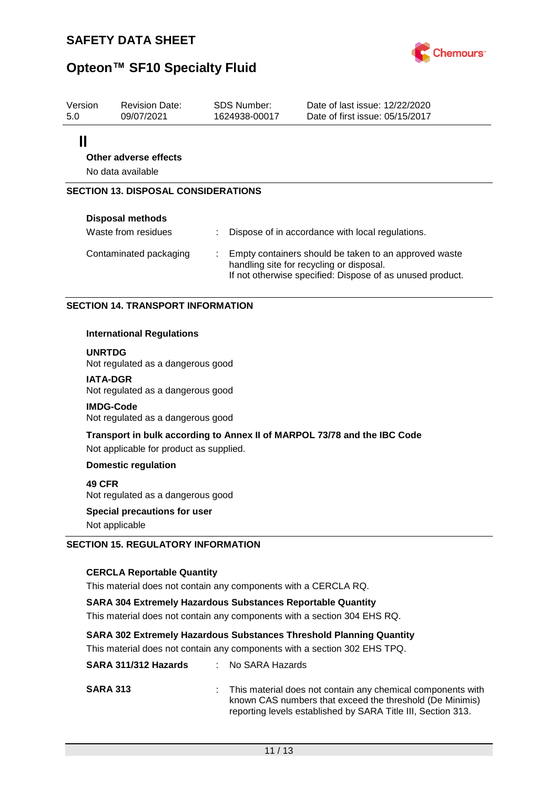

| Version<br>5.0                             | <b>Revision Date:</b><br>09/07/2021 |   | SDS Number:<br>1624938-00017 | Date of last issue: 12/22/2020<br>Date of first issue: 05/15/2017                                                                                              |
|--------------------------------------------|-------------------------------------|---|------------------------------|----------------------------------------------------------------------------------------------------------------------------------------------------------------|
| ║                                          |                                     |   |                              |                                                                                                                                                                |
|                                            | Other adverse effects               |   |                              |                                                                                                                                                                |
| No data available                          |                                     |   |                              |                                                                                                                                                                |
| <b>SECTION 13. DISPOSAL CONSIDERATIONS</b> |                                     |   |                              |                                                                                                                                                                |
|                                            | <b>Disposal methods</b>             |   |                              |                                                                                                                                                                |
|                                            | Waste from residues                 |   |                              | Dispose of in accordance with local regulations.                                                                                                               |
|                                            | Contaminated packaging              | ÷ |                              | Empty containers should be taken to an approved waste<br>handling site for recycling or disposal.<br>If not otherwise specified: Dispose of as unused product. |

## **SECTION 14. TRANSPORT INFORMATION**

#### **International Regulations**

**UNRTDG**

Not regulated as a dangerous good

#### **IATA-DGR**

Not regulated as a dangerous good

#### **IMDG-Code**

Not regulated as a dangerous good

## **Transport in bulk according to Annex II of MARPOL 73/78 and the IBC Code** Not applicable for product as supplied.

#### **Domestic regulation**

**49 CFR** Not regulated as a dangerous good

**Special precautions for user** Not applicable

## **SECTION 15. REGULATORY INFORMATION**

## **CERCLA Reportable Quantity**

This material does not contain any components with a CERCLA RQ.

**SARA 304 Extremely Hazardous Substances Reportable Quantity**

This material does not contain any components with a section 304 EHS RQ.

## **SARA 302 Extremely Hazardous Substances Threshold Planning Quantity**

This material does not contain any components with a section 302 EHS TPQ.

| SARA 311/312 Hazards | : No SARA Hazards                                                                                                                                                                         |
|----------------------|-------------------------------------------------------------------------------------------------------------------------------------------------------------------------------------------|
| <b>SARA 313</b>      | : This material does not contain any chemical components with<br>known CAS numbers that exceed the threshold (De Minimis)<br>reporting levels established by SARA Title III, Section 313. |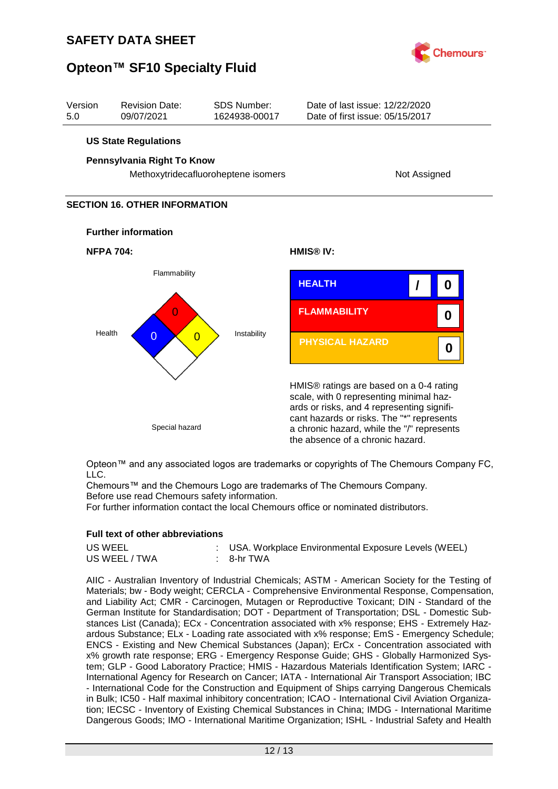



Opteon™ and any associated logos are trademarks or copyrights of The Chemours Company FC, LLC.

Chemours™ and the Chemours Logo are trademarks of The Chemours Company. Before use read Chemours safety information.

For further information contact the local Chemours office or nominated distributors.

## **Full text of other abbreviations**

| US WEEL       | : USA. Workplace Environmental Exposure Levels (WEEL) |
|---------------|-------------------------------------------------------|
| US WEEL / TWA | : 8-hr TWA                                            |

AIIC - Australian Inventory of Industrial Chemicals; ASTM - American Society for the Testing of Materials; bw - Body weight; CERCLA - Comprehensive Environmental Response, Compensation, and Liability Act; CMR - Carcinogen, Mutagen or Reproductive Toxicant; DIN - Standard of the German Institute for Standardisation; DOT - Department of Transportation; DSL - Domestic Substances List (Canada); ECx - Concentration associated with x% response; EHS - Extremely Hazardous Substance; ELx - Loading rate associated with x% response; EmS - Emergency Schedule; ENCS - Existing and New Chemical Substances (Japan); ErCx - Concentration associated with x% growth rate response; ERG - Emergency Response Guide; GHS - Globally Harmonized System; GLP - Good Laboratory Practice; HMIS - Hazardous Materials Identification System; IARC - International Agency for Research on Cancer; IATA - International Air Transport Association; IBC - International Code for the Construction and Equipment of Ships carrying Dangerous Chemicals in Bulk; IC50 - Half maximal inhibitory concentration; ICAO - International Civil Aviation Organization; IECSC - Inventory of Existing Chemical Substances in China; IMDG - International Maritime Dangerous Goods; IMO - International Maritime Organization; ISHL - Industrial Safety and Health